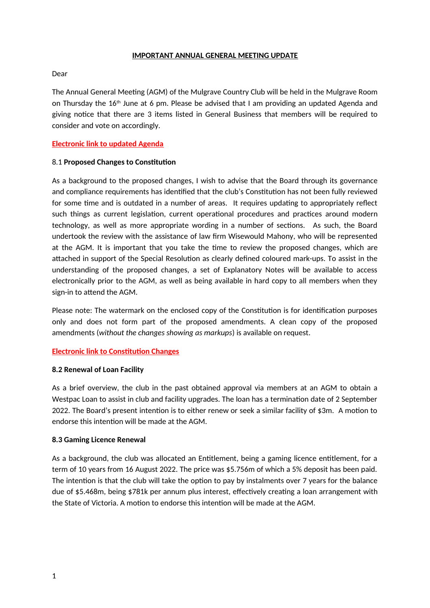#### **IMPORTANT ANNUAL GENERAL MEETING UPDATE**

#### Dear

The Annual General Meeting (AGM) of the Mulgrave Country Club will be held in the Mulgrave Room on Thursday the  $16<sup>th</sup>$  June at 6 pm. Please be advised that I am providing an updated Agenda and giving notice that there are 3 items listed in General Business that members will be required to consider and vote on accordingly.

# **Electronic link to updated Agenda**

## 8.1 **Proposed Changes to Consttuton**

As a background to the proposed changes, I wish to advise that the Board through its governance and compliance requirements has identified that the club's Constitution has not been fully reviewed for some time and is outdated in a number of areas. It requires updating to appropriately reflect such things as current legislation, current operational procedures and practices around modern technology, as well as more appropriate wording in a number of sections. As such, the Board undertook the review with the assistance of law frm Wisewould Mahony, who will be represented at the AGM. It is important that you take the time to review the proposed changes, which are atached in support of the Special Resoluton as clearly defned coloured mark-ups. To assist in the understanding of the proposed changes, a set of Explanatory Notes will be available to access electronically prior to the AGM, as well as being available in hard copy to all members when they sign-in to attend the AGM.

Please note: The watermark on the enclosed copy of the Constitution is for identification purposes only and does not form part of the proposed amendments. A clean copy of the proposed amendments (*without the changes showing as markups*) is available on request.

## **Electronic link to Constitution Changes**

## **8.2 Renewal of Loan Facility**

As a brief overview, the club in the past obtained approval via members at an AGM to obtain a Westpac Loan to assist in club and facility upgrades. The loan has a termination date of 2 September 2022. The Board's present intenton is to either renew or seek a similar facility of \$3m. A moton to endorse this intenton will be made at the AGM.

## **8.3 Gaming Licence Renewal**

As a background, the club was allocated an Enttlement, being a gaming licence enttlement, for a term of 10 years from 16 August 2022. The price was \$5.756m of which a 5% deposit has been paid. The intention is that the club will take the option to pay by instalments over 7 years for the balance due of \$5.468m, being \$781k per annum plus interest, efectvely creatng a loan arrangement with the State of Victoria. A motion to endorse this intention will be made at the AGM.